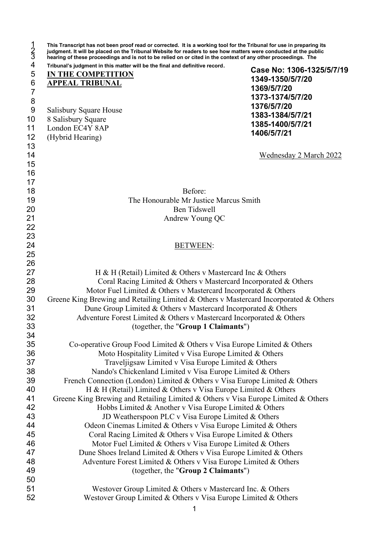| hearing of these proceedings and is not to be relied on or cited in the context of any other proceedings. The<br>Tribunal's judgment in this matter will be the final and definitive record. |                           |
|----------------------------------------------------------------------------------------------------------------------------------------------------------------------------------------------|---------------------------|
| IN THE COMPETITION                                                                                                                                                                           | Case No: 1306-1325/5/7/19 |
| <b>APPEAL TRIBUNAL</b>                                                                                                                                                                       | 1349-1350/5/7/20          |
|                                                                                                                                                                                              | 1369/5/7/20               |
|                                                                                                                                                                                              | 1373-1374/5/7/20          |
| Salisbury Square House                                                                                                                                                                       | 1376/5/7/20               |
| 8 Salisbury Square                                                                                                                                                                           | 1383-1384/5/7/21          |
| London EC4Y 8AP                                                                                                                                                                              | 1385-1400/5/7/21          |
| (Hybrid Hearing)                                                                                                                                                                             | 1406/5/7/21               |
|                                                                                                                                                                                              | Wednesday 2 March 2022    |
|                                                                                                                                                                                              |                           |
| Before:                                                                                                                                                                                      |                           |
| The Honourable Mr Justice Marcus Smith                                                                                                                                                       |                           |
| <b>Ben Tidswell</b>                                                                                                                                                                          |                           |
| Andrew Young QC                                                                                                                                                                              |                           |
|                                                                                                                                                                                              |                           |
|                                                                                                                                                                                              |                           |
| <b>BETWEEN:</b>                                                                                                                                                                              |                           |
|                                                                                                                                                                                              |                           |
|                                                                                                                                                                                              |                           |
| H & H (Retail) Limited & Others v Mastercard Inc & Others                                                                                                                                    |                           |
| Coral Racing Limited & Others v Mastercard Incorporated & Others                                                                                                                             |                           |
| Motor Fuel Limited & Others v Mastercard Incorporated & Others                                                                                                                               |                           |
| Greene King Brewing and Retailing Limited & Others v Mastercard Incorporated & Others                                                                                                        |                           |
| Dune Group Limited & Others v Mastercard Incorporated & Others                                                                                                                               |                           |
| Adventure Forest Limited & Others v Mastercard Incorporated & Others                                                                                                                         |                           |
| (together, the "Group 1 Claimants")                                                                                                                                                          |                           |
|                                                                                                                                                                                              |                           |
| Co-operative Group Food Limited & Others v Visa Europe Limited & Others                                                                                                                      |                           |
| Moto Hospitality Limited v Visa Europe Limited & Others                                                                                                                                      |                           |
| Traveljigsaw Limited v Visa Europe Limited & Others                                                                                                                                          |                           |
| Nando's Chickenland Limited v Visa Europe Limited & Others                                                                                                                                   |                           |
| French Connection (London) Limited & Others v Visa Europe Limited & Others                                                                                                                   |                           |
| H & H (Retail) Limited & Others v Visa Europe Limited & Others                                                                                                                               |                           |
| Greene King Brewing and Retailing Limited & Others v Visa Europe Limited & Others                                                                                                            |                           |
| Hobbs Limited & Another v Visa Europe Limited & Others                                                                                                                                       |                           |
| JD Weatherspoon PLC v Visa Europe Limited & Others<br>Odeon Cinemas Limited & Others v Visa Europe Limited & Others                                                                          |                           |
| Coral Racing Limited & Others v Visa Europe Limited & Others                                                                                                                                 |                           |
| Motor Fuel Limited & Others v Visa Europe Limited & Others                                                                                                                                   |                           |
| Dune Shoes Ireland Limited & Others v Visa Europe Limited & Others                                                                                                                           |                           |
| Adventure Forest Limited & Others v Visa Europe Limited & Others                                                                                                                             |                           |
| (together, the "Group 2 Claimants")                                                                                                                                                          |                           |
|                                                                                                                                                                                              |                           |
| Westover Group Limited & Others v Mastercard Inc. & Others                                                                                                                                   |                           |
| Westover Group Limited & Others v Visa Europe Limited & Others                                                                                                                               |                           |
| 1                                                                                                                                                                                            |                           |
|                                                                                                                                                                                              |                           |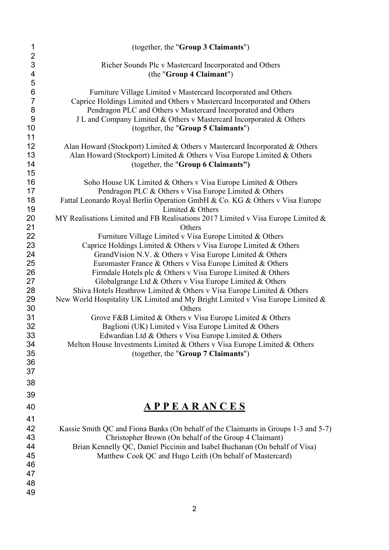| (together, the "Group 3 Claimants")                                                                                                                                                                                                                                                                                       |
|---------------------------------------------------------------------------------------------------------------------------------------------------------------------------------------------------------------------------------------------------------------------------------------------------------------------------|
|                                                                                                                                                                                                                                                                                                                           |
| Richer Sounds Plc v Mastercard Incorporated and Others<br>(the "Group 4 Claimant")                                                                                                                                                                                                                                        |
| Furniture Village Limited v Mastercard Incorporated and Others<br>Caprice Holdings Limited and Others v Mastercard Incorporated and Others<br>Pendragon PLC and Others v Mastercard Incorporated and Others<br>J L and Company Limited & Others v Mastercard Incorporated & Others<br>(together, the "Group 5 Claimants") |
| Alan Howard (Stockport) Limited & Others v Mastercard Incorporated & Others<br>Alan Howard (Stockport) Limited & Others v Visa Europe Limited & Others<br>(together, the "Group 6 Claimants")                                                                                                                             |
| Soho House UK Limited & Others v Visa Europe Limited & Others<br>Pendragon PLC & Others v Visa Europe Limited & Others<br>Fattal Leonardo Royal Berlin Operation GmbH & Co. KG & Others v Visa Europe<br>Limited & Others                                                                                                 |
| MY Realisations Limited and FB Realisations 2017 Limited v Visa Europe Limited &<br>Others<br>Furniture Village Limited v Visa Europe Limited & Others                                                                                                                                                                    |
| Caprice Holdings Limited & Others v Visa Europe Limited & Others<br>GrandVision N.V. & Others v Visa Europe Limited & Others<br>Euromaster France & Others v Visa Europe Limited & Others<br>Firmdale Hotels plc & Others v Visa Europe Limited & Others                                                                  |
| Globalgrange Ltd & Others v Visa Europe Limited & Others<br>Shiva Hotels Heathrow Limited & Others v Visa Europe Limited & Others<br>New World Hospitality UK Limited and My Bright Limited v Visa Europe Limited &<br>Others                                                                                             |
| Grove F&B Limited & Others v Visa Europe Limited & Others<br>Baglioni (UK) Limited v Visa Europe Limited & Others<br>Edwardian Ltd & Others v Visa Europe Limited & Others                                                                                                                                                |
| Melton House Investments Limited & Others v Visa Europe Limited & Others<br>(together, the "Group 7 Claimants")                                                                                                                                                                                                           |
| <u>APPEARANCES</u>                                                                                                                                                                                                                                                                                                        |
| Kassie Smith QC and Fiona Banks (On behalf of the Claimants in Groups 1-3 and 5-7)<br>Christopher Brown (On behalf of the Group 4 Claimant)<br>Brian Kennelly QC, Daniel Piccinin and Isabel Buchanan (On behalf of Visa)<br>Matthew Cook QC and Hugo Leith (On behalf of Mastercard)                                     |
|                                                                                                                                                                                                                                                                                                                           |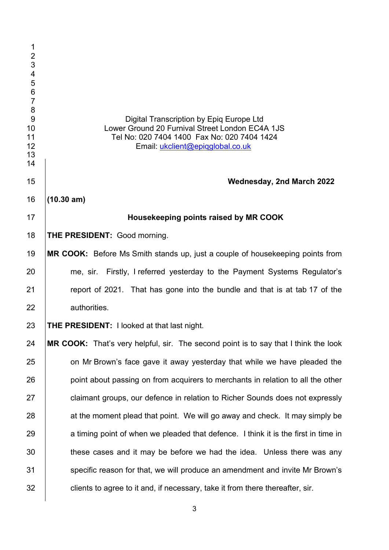| 1<br>$\frac{2}{3}$<br>$\overline{\mathcal{L}}$<br>5<br>6<br>7<br>8<br>9<br>10<br>11<br>12<br>13<br>14 | Digital Transcription by Epiq Europe Ltd<br>Lower Ground 20 Furnival Street London EC4A 1JS<br>Tel No: 020 7404 1400 Fax No: 020 7404 1424<br>Email: ukclient@epiqglobal.co.uk |
|-------------------------------------------------------------------------------------------------------|--------------------------------------------------------------------------------------------------------------------------------------------------------------------------------|
| 15                                                                                                    | Wednesday, 2nd March 2022                                                                                                                                                      |
| 16                                                                                                    | (10.30 am)                                                                                                                                                                     |
| 17                                                                                                    | Housekeeping points raised by MR COOK                                                                                                                                          |
| 18                                                                                                    | THE PRESIDENT: Good morning.                                                                                                                                                   |
| 19                                                                                                    | MR COOK: Before Ms Smith stands up, just a couple of housekeeping points from                                                                                                  |
| 20                                                                                                    | me, sir. Firstly, I referred yesterday to the Payment Systems Regulator's                                                                                                      |
| 21                                                                                                    | report of 2021. That has gone into the bundle and that is at tab 17 of the                                                                                                     |
| 22                                                                                                    | authorities.                                                                                                                                                                   |
| 23                                                                                                    | <b>THE PRESIDENT:</b> I looked at that last night.                                                                                                                             |
| 24                                                                                                    | MR COOK: That's very helpful, sir. The second point is to say that I think the look                                                                                            |
| 25                                                                                                    | on Mr Brown's face gave it away yesterday that while we have pleaded the                                                                                                       |
| 26                                                                                                    | point about passing on from acquirers to merchants in relation to all the other                                                                                                |
| 27                                                                                                    | claimant groups, our defence in relation to Richer Sounds does not expressly                                                                                                   |
| 28                                                                                                    | at the moment plead that point. We will go away and check. It may simply be                                                                                                    |
| 29                                                                                                    | a timing point of when we pleaded that defence. I think it is the first in time in                                                                                             |
| 30                                                                                                    | these cases and it may be before we had the idea. Unless there was any                                                                                                         |
| 31                                                                                                    | specific reason for that, we will produce an amendment and invite Mr Brown's                                                                                                   |
| 32                                                                                                    | clients to agree to it and, if necessary, take it from there thereafter, sir.                                                                                                  |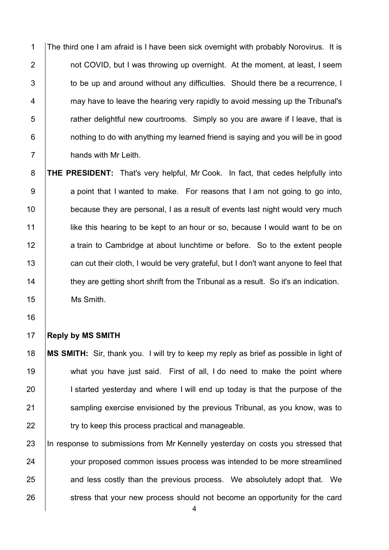The third one I am afraid is I have been sick overnight with probably Norovirus. It is **1** not COVID, but I was throwing up overnight. At the moment, at least, I seem  $\parallel$  to be up and around without any difficulties. Should there be a recurrence, I **Fig. 2** may have to leave the hearing very rapidly to avoid messing up the Tribunal's 5 T rather delightful new courtrooms. Simply so you are aware if I leave, that is **1** nothing to do with anything my learned friend is saying and you will be in good **hands with Mr Leith.** 

8 **THE PRESIDENT:** That's very helpful, Mr Cook. In fact, that cedes helpfully into 9 a point that I wanted to make. For reasons that I am not going to go into, 10 **because they are personal, I as a result of events last night would very much** 11 **like this hearing to be kept to an hour or so, because I would want to be on** 12 a train to Cambridge at about lunchtime or before. So to the extent people 13 can cut their cloth, I would be very grateful, but I don't want anyone to feel that 14 they are getting short shrift from the Tribunal as a result. So it's an indication. 15 | Ms Smith.

16

### 17 **Reply by MS SMITH**

18 **MS SMITH:** Sir, thank you. I will try to keep my reply as brief as possible in light of 19 what you have just said. First of all, I do need to make the point where 20 I started yesterday and where I will end up today is that the purpose of the 21 Sampling exercise envisioned by the previous Tribunal, as you know, was to 22 **try to keep this process practical and manageable.** 

23 In response to submissions from Mr Kennelly yesterday on costs you stressed that 24 vour proposed common issues process was intended to be more streamlined 25 and less costly than the previous process. We absolutely adopt that. We 26 stress that your new process should not become an opportunity for the card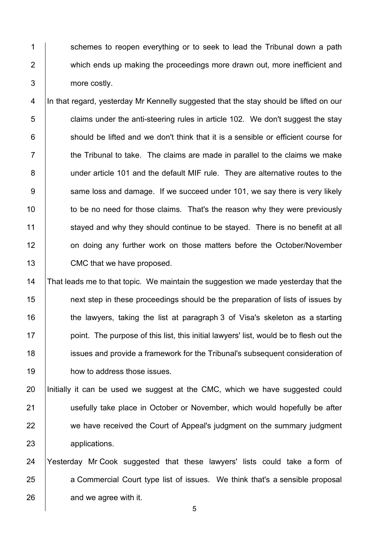1 Schemes to reopen everything or to seek to lead the Tribunal down a path 2 **which ends up making the proceedings more drawn out, more inefficient and** 3 more costly.

4 In that regard, yesterday Mr Kennelly suggested that the stay should be lifted on our  $\overline{5}$   $\vert$  claims under the anti-steering rules in article 102. We don't suggest the stay  $6$  should be lifted and we don't think that it is a sensible or efficient course for  $7$   $\parallel$  the Tribunal to take. The claims are made in parallel to the claims we make 8 | under article 101 and the default MIF rule. They are alternative routes to the 9 Same loss and damage. If we succeed under 101, we say there is very likely 10 to be no need for those claims. That's the reason why they were previously 11 stayed and why they should continue to be stayed. There is no benefit at all 12 on doing any further work on those matters before the October/November 13 CMC that we have proposed.

 That leads me to that topic. We maintain the suggestion we made yesterday that the **next step in these proceedings should be the preparation of lists of issues by**  $\parallel$  the lawyers, taking the list at paragraph 3 of Visa's skeleton as a starting point. The purpose of this list, this initial lawyers' list, would be to flesh out the issues and provide a framework for the Tribunal's subsequent consideration of **how to address those issues.** 

20 Initially it can be used we suggest at the CMC, which we have suggested could 21 | usefully take place in October or November, which would hopefully be after 22 we have received the Court of Appeal's judgment on the summary judgment 23 applications.

24 Yesterday Mr Cook suggested that these lawyers' lists could take a form of 25 a Commercial Court type list of issues. We think that's a sensible proposal  $26$   $\parallel$  and we agree with it.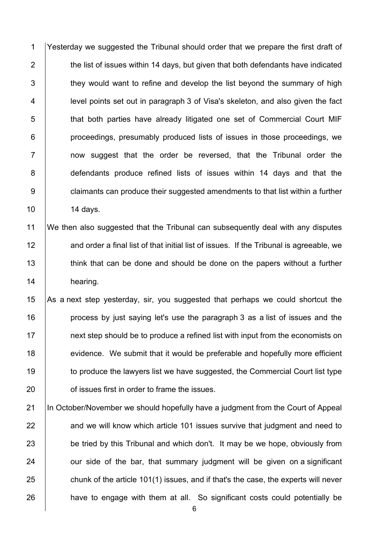Yesterday we suggested the Tribunal should order that we prepare the first draft of  $\parallel$  the list of issues within 14 days, but given that both defendants have indicated  $\vert$  they would want to refine and develop the list beyond the summary of high **level points set out in paragraph 3 of Visa's skeleton, and also given the fact that both parties have already litigated one set of Commercial Court MIF proceedings, presumably produced lists of issues in those proceedings, we**  | and now suggest that the order be reversed, that the Tribunal order the 8 defendants produce refined lists of issues within 14 days and that the **b** claimants can produce their suggested amendments to that list within a further 10 | 14 days.

 We then also suggested that the Tribunal can subsequently deal with any disputes **12** and order a final list of that initial list of issues. If the Tribunal is agreeable, we 13 think that can be done and should be done on the papers without a further 14 hearing.

 $\vert$  As a next step yesterday, sir, you suggested that perhaps we could shortcut the **process by just saying let's use the paragraph** 3 as a list of issues and the hext step should be to produce a refined list with input from the economists on 18 evidence. We submit that it would be preferable and hopefully more efficient 19 to produce the lawyers list we have suggested, the Commercial Court list type **b** of issues first in order to frame the issues.

21 In October/November we should hopefully have a judgment from the Court of Appeal and we will know which article 101 issues survive that judgment and need to 23 be tried by this Tribunal and which don't. It may be we hope, obviously from  $\vert$  our side of the bar, that summary judgment will be given on a significant chunk of the article 101(1) issues, and if that's the case, the experts will never **have to engage with them at all.** So significant costs could potentially be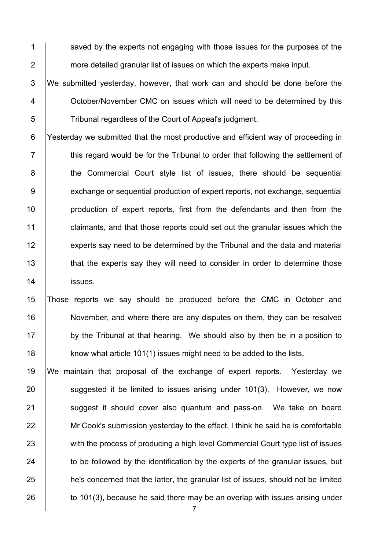1 Saved by the experts not engaging with those issues for the purposes of the 2 more detailed granular list of issues on which the experts make input.

3 We submitted yesterday, however, that work can and should be done before the 4 Cortober/November CMC on issues which will need to be determined by this 5 Tribunal regardless of the Court of Appeal's judgment.

6 Yesterday we submitted that the most productive and efficient way of proceeding in  $7 \mid$  this regard would be for the Tribunal to order that following the settlement of 8 **the Commercial Court style list of issues, there should be sequential** 9 exchange or sequential production of expert reports, not exchange, sequential 10 **production of expert reports, first from the defendants and then from the** 11 claimants, and that those reports could set out the granular issues which the 12 experts say need to be determined by the Tribunal and the data and material 13 **that the experts say they will need to consider in order to determine those** 14 **issues**.

15 Those reports we say should be produced before the CMC in October and 16 November, and where there are any disputes on them, they can be resolved 17 by the Tribunal at that hearing. We should also by then be in a position to 18 **know what article 101(1) issues might need to be added to the lists.** 

19 We maintain that proposal of the exchange of expert reports. Yesterday we 20 **Suggested it be limited to issues arising under 101(3). However, we now** 21 Suggest it should cover also quantum and pass-on. We take on board 22 Mr Cook's submission yesterday to the effect, I think he said he is comfortable 23 with the process of producing a high level Commercial Court type list of issues 24 to be followed by the identification by the experts of the granular issues, but 25 he's concerned that the latter, the granular list of issues, should not be limited 26  $\vert$  to 101(3), because he said there may be an overlap with issues arising under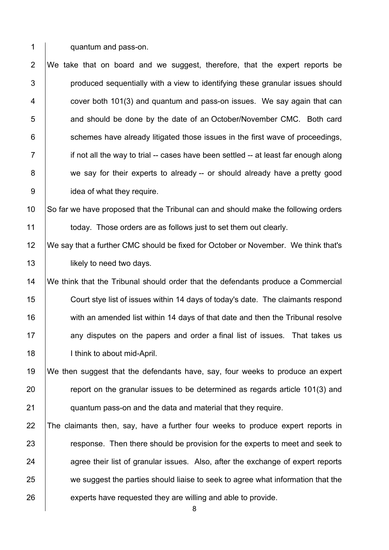**quantum and pass-on.** 

 We take that on board and we suggest, therefore, that the expert reports be | produced sequentially with a view to identifying these granular issues should  $4 \mid$  cover both 101(3) and quantum and pass-on issues. We say again that can **Fig. 2** and should be done by the date of an October/November CMC. Both card schemes have already litigated those issues in the first wave of proceedings, if not all the way to trial -- cases have been settled -- at least far enough along 8 we say for their experts to already -- or should already have a pretty good **julies** idea of what they require.

10 So far we have proposed that the Tribunal can and should make the following orders **today.** Those orders are as follows just to set them out clearly.

 We say that a further CMC should be fixed for October or November. We think that's **likely to need two days.** 

 We think that the Tribunal should order that the defendants produce a Commercial Court stye list of issues within 14 days of today's date. The claimants respond 16 with an amended list within 14 days of that date and then the Tribunal resolve 17 any disputes on the papers and order a final list of issues. That takes us 18 | I think to about mid-April.

 We then suggest that the defendants have, say, four weeks to produce an expert **Fig.** report on the granular issues to be determined as regards article 101(3) and **quantum pass-on and the data and material that they require.** 

 The claimants then, say, have a further four weeks to produce expert reports in **Fig. 23** response. Then there should be provision for the experts to meet and seek to agree their list of granular issues. Also, after the exchange of expert reports 25 we suggest the parties should liaise to seek to agree what information that the 26 experts have requested they are willing and able to provide.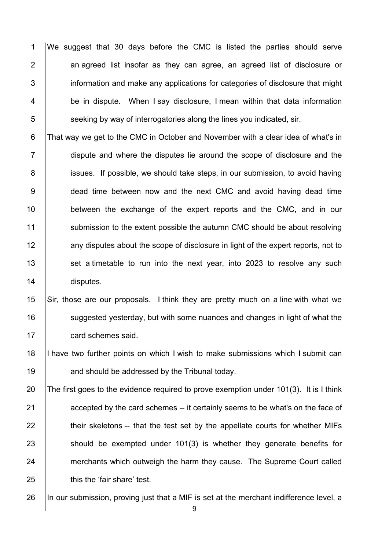We suggest that 30 days before the CMC is listed the parties should serve | an agreed list insofar as they can agree, an agreed list of disclosure or **information and make any applications for categories of disclosure that might** 4 be in dispute. When I say disclosure, I mean within that data information seeking by way of interrogatories along the lines you indicated, sir.

6 That way we get to the CMC in October and November with a clear idea of what's in 7 dispute and where the disputes lie around the scope of disclosure and the 8 issues. If possible, we should take steps, in our submission, to avoid having 9 dead time between now and the next CMC and avoid having dead time 10 between the exchange of the expert reports and the CMC, and in our 11 Submission to the extent possible the autumn CMC should be about resolving 12 any disputes about the scope of disclosure in light of the expert reports, not to 13 set a timetable to run into the next year, into 2023 to resolve any such 14 disputes.

15 Sir, those are our proposals. I think they are pretty much on a line with what we 16 **Suggested yesterday, but with some nuances and changes in light of what the** 17 **card schemes said.** 

18 I have two further points on which I wish to make submissions which I submit can 19 **19** and should be addressed by the Tribunal today.

20 The first goes to the evidence required to prove exemption under 101(3). It is I think **accepted by the card schemes -- it certainly seems to be what's on the face of**   $\parallel$  their skeletons -- that the test set by the appellate courts for whether MIFs should be exempted under 101(3) is whether they generate benefits for 24 merchants which outweigh the harm they cause. The Supreme Court called **here** 'fair share' test.

26 In our submission, proving just that a MIF is set at the merchant indifference level, a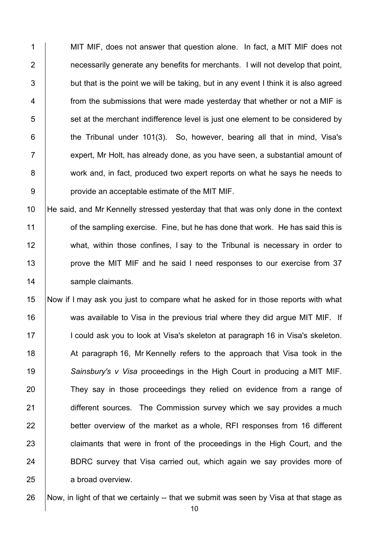MIT MIF, does not answer that question alone. In fact, a MIT MIF does not **1** necessarily generate any benefits for merchants. I will not develop that point,  $\vert$  but that is the point we will be taking, but in any event I think it is also agreed 4 From the submissions that were made yesterday that whether or not a MIF is set at the merchant indifference level is just one element to be considered by  $\vert$  the Tribunal under 101(3). So, however, bearing all that in mind, Visa's  $\parallel$  expert, Mr Holt, has already done, as you have seen, a substantial amount of 8 work and, in fact, produced two expert reports on what he says he needs to **provide an acceptable estimate of the MIT MIF.** 

10 He said, and Mr Kennelly stressed yesterday that that was only done in the context 11 **1** of the sampling exercise. Fine, but he has done that work. He has said this is 12 what, within those confines, I say to the Tribunal is necessary in order to 13 **prove the MIT MIF and he said I need responses to our exercise from 37** 14 | sample claimants.

15 Now if I may ask you just to compare what he asked for in those reports with what 16 was available to Visa in the previous trial where they did argue MIT MIF. If 17 I could ask you to look at Visa's skeleton at paragraph 16 in Visa's skeleton. 18 At paragraph 16, Mr Kennelly refers to the approach that Visa took in the 19 *Sainsbury's v Visa* proceedings in the High Court in producing a MIT MIF. 20 They say in those proceedings they relied on evidence from a range of 21 different sources. The Commission survey which we say provides a much  $22$  better overview of the market as a whole. RFI responses from 16 different 23 claimants that were in front of the proceedings in the High Court, and the 24 BDRC survey that Visa carried out, which again we say provides more of 25 a broad overview.

26 Now, in light of that we certainly -- that we submit was seen by Visa at that stage as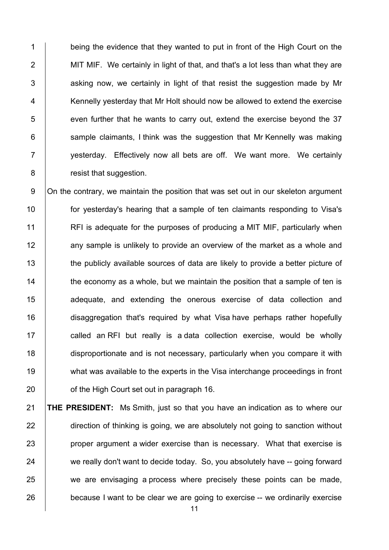1 being the evidence that they wanted to put in front of the High Court on the 2 MIT MIF. We certainly in light of that, and that's a lot less than what they are  $3$  | asking now, we certainly in light of that resist the suggestion made by Mr 4 Kennelly yesterday that Mr Holt should now be allowed to extend the exercise  $5$  | even further that he wants to carry out, extend the exercise beyond the 37  $6$  sample claimants, I think was the suggestion that Mr Kennelly was making 7 | vesterday. Effectively now all bets are off. We want more. We certainly 8 **8** resist that suggestion.

9 On the contrary, we maintain the position that was set out in our skeleton argument 10 **for yesterday's hearing that a sample of ten claimants responding to Visa's** 11 **RFI** is adequate for the purposes of producing a MIT MIF, particularly when 12 any sample is unlikely to provide an overview of the market as a whole and 13 the publicly available sources of data are likely to provide a better picture of 14  $\parallel$  the economy as a whole, but we maintain the position that a sample of ten is 15 **a**dequate, and extending the onerous exercise of data collection and 16 disaggregation that's required by what Visa have perhaps rather hopefully 17 | called an RFI but really is a data collection exercise, would be wholly 18 disproportionate and is not necessary, particularly when you compare it with 19 what was available to the experts in the Visa interchange proceedings in front 20 **b** of the High Court set out in paragraph 16.

21 **THE PRESIDENT:** Ms Smith, just so that you have an indication as to where our 22 direction of thinking is going, we are absolutely not going to sanction without 23 **proper argument a wider exercise than is necessary.** What that exercise is 24 we really don't want to decide today. So, you absolutely have -- going forward 25 we are envisaging a process where precisely these points can be made, 26 because I want to be clear we are going to exercise -- we ordinarily exercise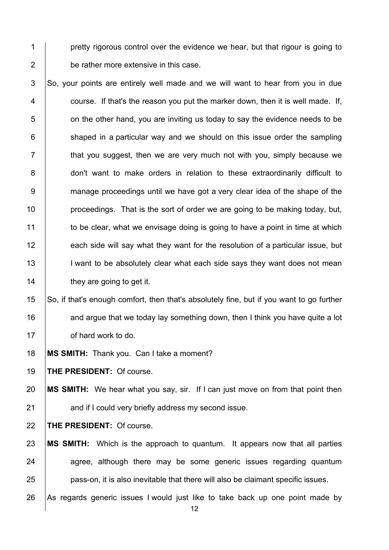**pretty rigorous control over the evidence we hear, but that rigour is going to** 2 be rather more extensive in this case.

 So, your points are entirely well made and we will want to hear from you in due  $\vert$  course. If that's the reason you put the marker down, then it is well made. If,  $\Box$  on the other hand, you are inviting us today to say the evidence needs to be shaped in a particular way and we should on this issue order the sampling  $\parallel$  that you suggest, then we are very much not with you, simply because we 8 don't want to make orders in relation to these extraordinarily difficult to 9 manage proceedings until we have got a very clear idea of the shape of the **proceedings.** That is the sort of order we are going to be making today, but, 11 to be clear, what we envisage doing is going to have a point in time at which 12 each side will say what they want for the resolution of a particular issue, but 13 I want to be absolutely clear what each side says they want does not mean **they are going to get it.** 

15 So, if that's enough comfort, then that's absolutely fine, but if you want to go further **and argue that we today lay something down, then I think you have quite a lot b** of hard work to do.

**MS SMITH:** Thank you. Can I take a moment?

**THE PRESIDENT:** Of course.

 **MS SMITH:** We hear what you say, sir. If I can just move on from that point then **and if I could very briefly address my second issue.** 

**THE PRESIDENT:** Of course.

 **MS SMITH:** Which is the approach to quantum. It appears now that all parties agree, although there may be some generic issues regarding quantum **pass-on, it is also inevitable that there will also be claimant specific issues.** 26 As regards generic issues I would just like to take back up one point made by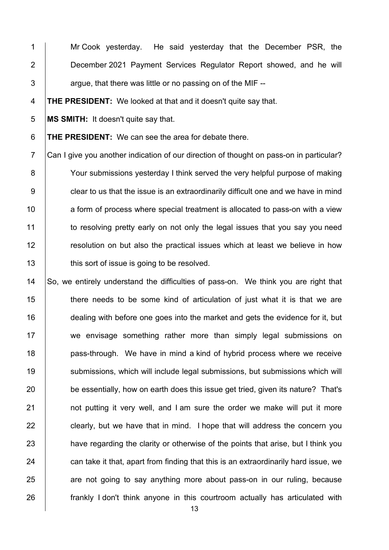1 | Mr Cook yesterday. He said yesterday that the December PSR, the **December 2021 Payment Services Regulator Report showed, and he will**  $3 \mid$  argue, that there was little or no passing on of the MIF --

**THE PRESIDENT:** We looked at that and it doesn't quite say that.

**MS SMITH:** It doesn't quite say that.

**THE PRESIDENT:** We can see the area for debate there.

 Can I give you another indication of our direction of thought on pass-on in particular? 8 Your submissions yesterday I think served the very helpful purpose of making **clear to us that the issue is an extraordinarily difficult one and we have in mind a** form of process where special treatment is allocated to pass-on with a view 11 to resolving pretty early on not only the legal issues that you say you need **Fig.** resolution on but also the practical issues which at least we believe in how **this sort of issue is going to be resolved.** 

14 So, we entirely understand the difficulties of pass-on. We think you are right that 15 There needs to be some kind of articulation of just what it is that we are **dealing with before one goes into the market and gets the evidence for it, but** 17 we envisage something rather more than simply legal submissions on **pass-through.** We have in mind a kind of hybrid process where we receive **Submissions, which will include legal submissions, but submissions which will** 20 be essentially, how on earth does this issue get tried, given its nature? That's **1** not putting it very well, and I am sure the order we make will put it more clearly, but we have that in mind. I hope that will address the concern you 23 have regarding the clarity or otherwise of the points that arise, but I think you can take it that, apart from finding that this is an extraordinarily hard issue, we 25 are not going to say anything more about pass-on in our ruling, because **frankly I don't think anyone in this courtroom actually has articulated with**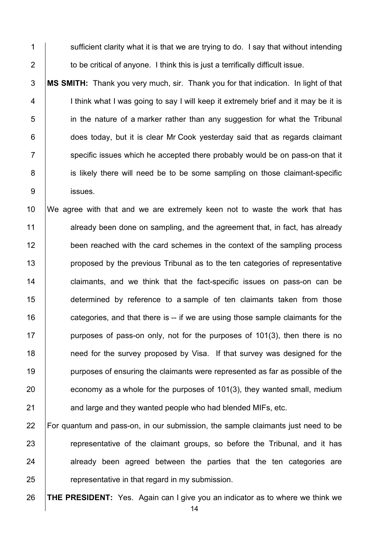$\parallel$  sufficient clarity what it is that we are trying to do. I say that without intending 2  $\parallel$  to be critical of anyone. I think this is just a terrifically difficult issue.

 **MS SMITH:** Thank you very much, sir. Thank you for that indication. In light of that 4 | I think what I was going to say I will keep it extremely brief and it may be it is **i** in the nature of a marker rather than any suggestion for what the Tribunal **does today, but it is clear Mr Cook yesterday said that as regards claimant**  specific issues which he accepted there probably would be on pass-on that it 8 is likely there will need be to be some sampling on those claimant-specific issues.

 We agree with that and we are extremely keen not to waste the work that has 11 already been done on sampling, and the agreement that, in fact, has already 12 been reached with the card schemes in the context of the sampling process **proposed by the previous Tribunal as to the ten categories of representative claimants, and we think that the fact-specific issues on pass-on can be determined by reference to a sample of ten claimants taken from those**  $\parallel$  categories, and that there is -- if we are using those sample claimants for the **purposes of pass-on only, not for the purposes of 101(3), then there is no 18** need for the survey proposed by Visa. If that survey was designed for the **purposes of ensuring the claimants were represented as far as possible of the** 20 economy as a whole for the purposes of 101(3), they wanted small, medium 21 and large and they wanted people who had blended MIFs, etc.

 For quantum and pass-on, in our submission, the sample claimants just need to be **Fig.** representative of the claimant groups, so before the Tribunal, and it has already been agreed between the parties that the ten categories are  $\parallel$  representative in that regard in my submission.

**THE PRESIDENT:** Yes. Again can I give you an indicator as to where we think we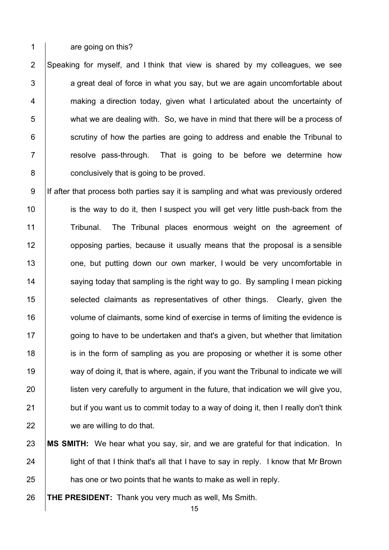1 are going on this?

 Speaking for myself, and I think that view is shared by my colleagues, we see  $\vert$  a great deal of force in what you say, but we are again uncomfortable about **Fig. 2** making a direction today, given what I articulated about the uncertainty of what we are dealing with. So, we have in mind that there will be a process of scrutiny of how the parties are going to address and enable the Tribunal to  $\vert$  resolve pass-through. That is going to be before we determine how **conclusively that is going to be proved.** 

9 If after that process both parties say it is sampling and what was previously ordered 10 is the way to do it, then I suspect you will get very little push-back from the 11 Tribunal. The Tribunal places enormous weight on the agreement of 12 **12** opposing parties, because it usually means that the proposal is a sensible 13 one, but putting down our own marker, I would be very uncomfortable in 14 Saying today that sampling is the right way to go. By sampling I mean picking 15 **Selected claimants as representatives of other things. Clearly, given the** 16 volume of claimants, some kind of exercise in terms of limiting the evidence is 17 going to have to be undertaken and that's a given, but whether that limitation 18 is in the form of sampling as you are proposing or whether it is some other 19 way of doing it, that is where, again, if you want the Tribunal to indicate we will 20 **let is under** listen very carefully to argument in the future, that indication we will give you,  $21$  but if you want us to commit today to a way of doing it, then I really don't think 22 we are willing to do that.

23 **MS SMITH:** We hear what you say, sir, and we are grateful for that indication. In 24 **lubses** light of that I think that's all that I have to say in reply. I know that Mr Brown 25 **has one or two points that he wants to make as well in reply.** 

26 **THE PRESIDENT:** Thank you very much as well, Ms Smith.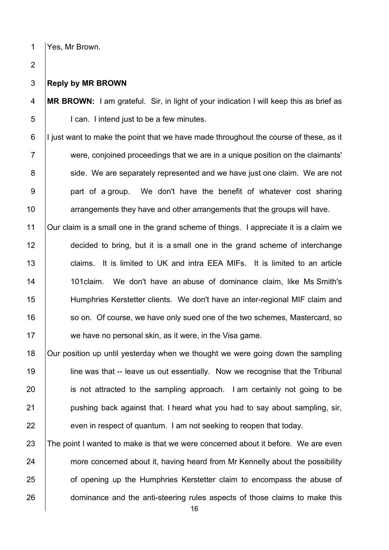# Yes, Mr Brown.

#### **Reply by MR BROWN**

 **MR BROWN:** I am grateful. Sir, in light of your indication I will keep this as brief as 5 | Can. I intend just to be a few minutes.

 | I just want to make the point that we have made throughout the course of these, as it were, conjoined proceedings that we are in a unique position on the claimants' 8 Side. We are separately represented and we have just one claim. We are not 9 | part of a group. We don't have the benefit of whatever cost sharing arrangements they have and other arrangements that the groups will have.

 Our claim is a small one in the grand scheme of things. I appreciate it is a claim we decided to bring, but it is a small one in the grand scheme of interchange 13 claims. It is limited to UK and intra EEA MIFs. It is limited to an article 14 | 101 claim. We don't have an abuse of dominance claim, like Ms Smith's Humphries Kerstetter clients. We don't have an inter-regional MIF claim and 16 so on. Of course, we have only sued one of the two schemes, Mastercard, so 17 we have no personal skin, as it were, in the Visa game.

 Our position up until yesterday when we thought we were going down the sampling **line was that -- leave us out essentially.** Now we recognise that the Tribunal **is not attracted to the sampling approach.** I am certainly not going to be **pushing back against that. I heard what you had to say about sampling, sir,** even in respect of quantum. I am not seeking to reopen that today.

23 The point I wanted to make is that we were concerned about it before. We are even 24 more concerned about it, having heard from Mr Kennelly about the possibility **or** of opening up the Humphries Kerstetter claim to encompass the abuse of 26 dominance and the anti-steering rules aspects of those claims to make this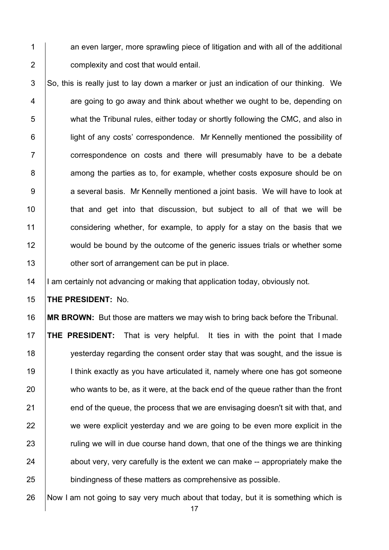$1$  an even larger, more sprawling piece of litigation and with all of the additional 2 **complexity and cost that would entail.** 

 $3$  So, this is really just to lay down a marker or just an indication of our thinking. We  $4 \mid$  are going to go away and think about whether we ought to be, depending on 5 what the Tribunal rules, either today or shortly following the CMC, and also in 6 **i** light of any costs' correspondence. Mr Kennelly mentioned the possibility of 7 **Fig.** Correspondence on costs and there will presumably have to be a debate 8 among the parties as to, for example, whether costs exposure should be on 9 a several basis. Mr Kennelly mentioned a joint basis. We will have to look at 10 | that and get into that discussion, but subject to all of that we will be 11 considering whether, for example, to apply for a stay on the basis that we 12 would be bound by the outcome of the generic issues trials or whether some 13 **July 13** other sort of arrangement can be put in place.

14 | I am certainly not advancing or making that application today, obviously not.

15 **THE PRESIDENT:** No.

16 **MR BROWN:** But those are matters we may wish to bring back before the Tribunal.

17 **THE PRESIDENT:** That is very helpful. It ties in with the point that I made 18 yesterday regarding the consent order stay that was sought, and the issue is 19 **I** think exactly as you have articulated it, namely where one has got someone 20 who wants to be, as it were, at the back end of the queue rather than the front  $21$  end of the queue, the process that we are envisaging doesn't sit with that, and 22 we were explicit yesterday and we are going to be even more explicit in the 23 The ruling we will in due course hand down, that one of the things we are thinking  $24$  about very, very carefully is the extent we can make -- appropriately make the 25 **bindingness of these matters as comprehensive as possible.** 

26 Now I am not going to say very much about that today, but it is something which is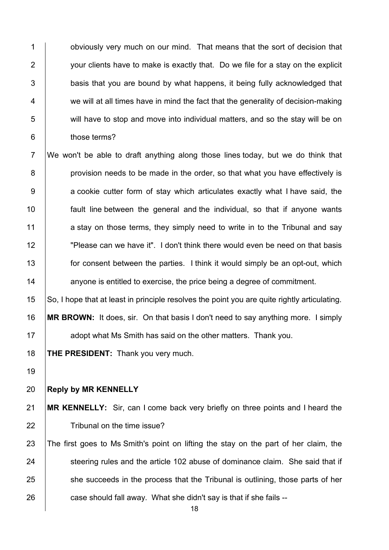**budge 1** obviously very much on our mind. That means that the sort of decision that **your clients have to make is exactly that.** Do we file for a stay on the explicit  $\vert$  basis that you are bound by what happens, it being fully acknowledged that 4 we will at all times have in mind the fact that the generality of decision-making will have to stop and move into individual matters, and so the stay will be on **b** those terms?

 We won't be able to draft anything along those lines today, but we do think that **provision needs to be made in the order, so that what you have effectively is** 9 a cookie cutter form of stay which articulates exactly what I have said, the fault line between the general and the individual, so that if anyone wants  $\vert$  a stay on those terms, they simply need to write in to the Tribunal and say "Please can we have it". I don't think there would even be need on that basis **for consent between the parties.** I think it would simply be an opt-out, which **14** anyone is entitled to exercise, the price being a degree of commitment.

 So, I hope that at least in principle resolves the point you are quite rightly articulating. **MR BROWN:** It does, sir. On that basis I don't need to say anything more. I simply **Arror** adopt what Ms Smith has said on the other matters. Thank you.

**THE PRESIDENT:** Thank you very much.

### **Reply by MR KENNELLY**

 **MR KENNELLY:** Sir, can I come back very briefly on three points and I heard the **Tribunal on the time issue?** 

23 The first goes to Ms Smith's point on lifting the stay on the part of her claim, the 24 Steering rules and the article 102 abuse of dominance claim. She said that if 25 she succeeds in the process that the Tribunal is outlining, those parts of her case should fall away. What she didn't say is that if she fails --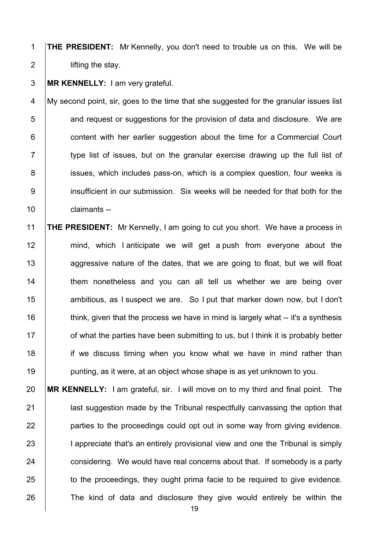1 **THE PRESIDENT:** Mr Kennelly, you don't need to trouble us on this. We will be 2 **lifting the stay.** 

3 **MR KENNELLY:** I am very grateful.

4 My second point, sir, goes to the time that she suggested for the granular issues list  $5$   $\vert$  and request or suggestions for the provision of data and disclosure. We are 6 **6** content with her earlier suggestion about the time for a Commercial Court  $7$   $\vert$  type list of issues, but on the granular exercise drawing up the full list of 8 issues, which includes pass-on, which is a complex question, four weeks is 9 insufficient in our submission. Six weeks will be needed for that both for the 10 | claimants --

11 **THE PRESIDENT:** Mr Kennelly, I am going to cut you short. We have a process in 12 mind, which I anticipate we will get a push from everyone about the 13 aggressive nature of the dates, that we are going to float, but we will float 14 Them nonetheless and you can all tell us whether we are being over 15 **Arror** ambitious, as I suspect we are. So I put that marker down now, but I don't 16  $\parallel$  think, given that the process we have in mind is largely what -- it's a synthesis 17 **of what the parties have been submitting to us, but I think it is probably better** 18 if we discuss timing when you know what we have in mind rather than 19 **punting, as it were, at an object whose shape is as yet unknown to you.** 

20 **MR KENNELLY:** I am grateful, sir. I will move on to my third and final point. The 21 **last suggestion made by the Tribunal respectfully canvassing the option that** 22 **parties to the proceedings could opt out in some way from giving evidence.** 23 I appreciate that's an entirely provisional view and one the Tribunal is simply 24 considering. We would have real concerns about that. If somebody is a party 25 to the proceedings, they ought prima facie to be required to give evidence. 26 The kind of data and disclosure they give would entirely be within the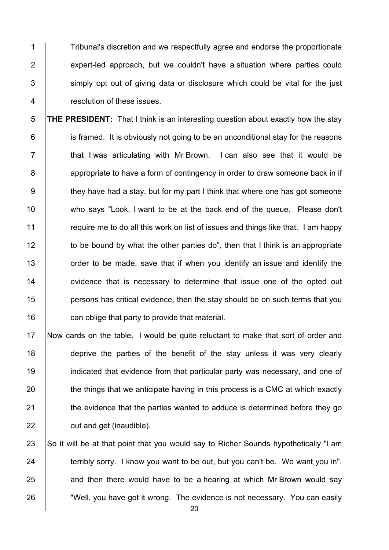Tribunal's discretion and we respectfully agree and endorse the proportionate 2 expert-led approach, but we couldn't have a situation where parties could simply opt out of giving data or disclosure which could be vital for the just resolution of these issues.

 **THE PRESIDENT:** That I think is an interesting question about exactly how the stay **is framed.** It is obviously not going to be an unconditional stay for the reasons  $\vert$  that I was articulating with Mr Brown. I can also see that it would be 8 appropriate to have a form of contingency in order to draw someone back in if  $9 \mid$  they have had a stay, but for my part I think that where one has got someone 10 who says "Look, I want to be at the back end of the queue. Please don't **Fig. 2** require me to do all this work on list of issues and things like that. I am happy 12 to be bound by what the other parties do", then that I think is an appropriate **1** order to be made, save that if when you identify an issue and identify the 14 evidence that is necessary to determine that issue one of the opted out **persons has critical evidence, then the stay should be on such terms that you can oblige that party to provide that material.** 

 Now cards on the table. I would be quite reluctant to make that sort of order and 18 deprive the parties of the benefit of the stay unless it was very clearly **indicated that evidence from that particular party was necessary, and one of**  the things that we anticipate having in this process is a CMC at which exactly **the evidence that the parties wanted to adduce is determined before they go July 22** out and get (inaudible).

 $\vert$  So it will be at that point that you would say to Richer Sounds hypothetically "I am terribly sorry. I know you want to be out, but you can't be. We want you in", and then there would have to be a hearing at which Mr Brown would say **Well, you have got it wrong. The evidence is not necessary. You can easily**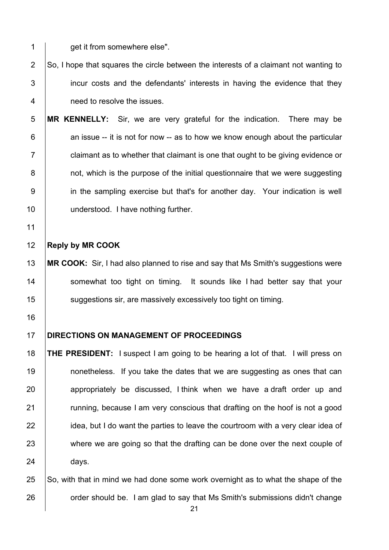**det it from somewhere else".** 

2  $\vert$  So, I hope that squares the circle between the interests of a claimant not wanting to incur costs and the defendants' interests in having the evidence that they need to resolve the issues.

 **MR KENNELLY:** Sir, we are very grateful for the indication. There may be  $\vert$  an issue -- it is not for now -- as to how we know enough about the particular  $7 \mid$  claimant as to whether that claimant is one that ought to be giving evidence or **b** not, which is the purpose of the initial questionnaire that we were suggesting in the sampling exercise but that's for another day. Your indication is well 10 | understood. I have nothing further.

#### **Reply by MR COOK**

 **MR COOK:** Sir, I had also planned to rise and say that Ms Smith's suggestions were 14 Somewhat too tight on timing. It sounds like I had better say that your **Suggestions sir, are massively excessively too tight on timing.** 

- 
- 

#### **DIRECTIONS ON MANAGEMENT OF PROCEEDINGS**

 **THE PRESIDENT:** I suspect I am going to be hearing a lot of that. I will press on **19** nonetheless. If you take the dates that we are suggesting as ones that can 20 appropriately be discussed, I think when we have a draft order up and **Fig. 21 running, because I am very conscious that drafting on the hoof is not a good** 22 idea, but I do want the parties to leave the courtroom with a very clear idea of 23 where we are going so that the drafting can be done over the next couple of 24 days.

25  $\vert$  So, with that in mind we had done some work overnight as to what the shape of the **Fig. 26** order should be. I am glad to say that Ms Smith's submissions didn't change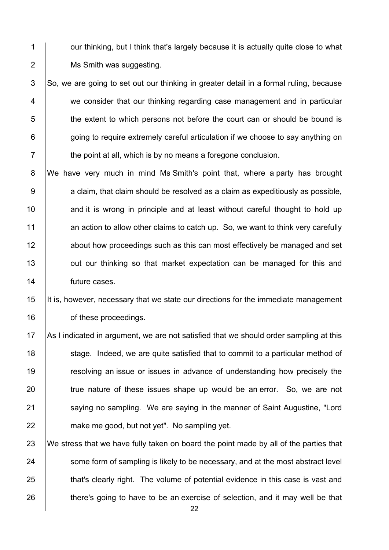1 | our thinking, but I think that's largely because it is actually quite close to what 2 | Ms Smith was suggesting.

 $3$  So, we are going to set out our thinking in greater detail in a formal ruling, because 4 we consider that our thinking regarding case management and in particular 5 the extent to which persons not before the court can or should be bound is 6 **going to require extremely careful articulation if we choose to say anything on**  $7 \mid$  the point at all, which is by no means a foregone conclusion.

 We have very much in mind Ms Smith's point that, where a party has brought a claim, that claim should be resolved as a claim as expeditiously as possible, **and it is wrong in principle and at least without careful thought to hold up** 11 an action to allow other claims to catch up. So, we want to think very carefully **12** about how proceedings such as this can most effectively be managed and set **J** out our thinking so that market expectation can be managed for this and **future cases**.

15 It is, however, necessary that we state our directions for the immediate management 16 **b** of these proceedings.

17 As I indicated in argument, we are not satisfied that we should order sampling at this 18 stage. Indeed, we are quite satisfied that to commit to a particular method of 19 The section of issues or issues in advance of understanding how precisely the 20 true nature of these issues shape up would be an error. So, we are not 21 Saying no sampling. We are saying in the manner of Saint Augustine, "Lord 22 **make me good, but not yet". No sampling yet.** 

23 We stress that we have fully taken on board the point made by all of the parties that 24 some form of sampling is likely to be necessary, and at the most abstract level 25 that's clearly right. The volume of potential evidence in this case is vast and 26 there's going to have to be an exercise of selection, and it may well be that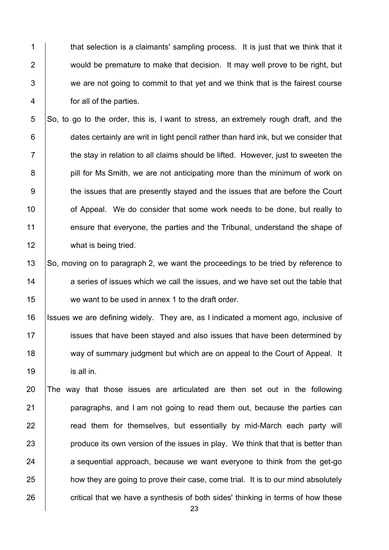1 that selection is a claimants' sampling process. It is just that we think that it **would be premature to make that decision.** It may well prove to be right, but  $\vert$  we are not going to commit to that vet and we think that is the fairest course for all of the parties.

 So, to go to the order, this is, I want to stress, an extremely rough draft, and the **dates certainly are writ in light pencil rather than hard ink, but we consider that**   $\parallel$  the stay in relation to all claims should be lifted. However, just to sweeten the **pill for Ms Smith, we are not anticipating more than the minimum of work on** 9 the issues that are presently stayed and the issues that are before the Court **10** of Appeal. We do consider that some work needs to be done, but really to 11 ensure that everyone, the parties and the Tribunal, understand the shape of 12 what is being tried.

13 So, moving on to paragraph 2, we want the proceedings to be tried by reference to 14 a series of issues which we call the issues, and we have set out the table that we want to be used in annex 1 to the draft order.

 Issues we are defining widely. They are, as I indicated a moment ago, inclusive of **ignosi** issues that have been stayed and also issues that have been determined by 18 way of summary judgment but which are on appeal to the Court of Appeal. It is all in.

 The way that those issues are articulated are then set out in the following **paragraphs, and I am not going to read them out, because the parties can Fig. 22 read them for themselves, but essentially by mid-March each party will produce its own version of the issues in play.** We think that that is better than a sequential approach, because we want everyone to think from the get-go 25 how they are going to prove their case, come trial. It is to our mind absolutely critical that we have a synthesis of both sides' thinking in terms of how these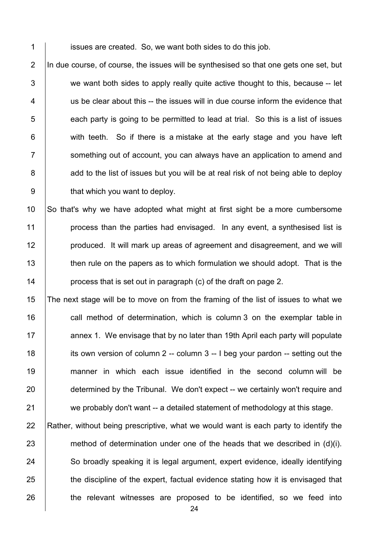1 **i** issues are created. So, we want both sides to do this job.

 $\vert$  In due course, of course, the issues will be synthesised so that one gets one set, but  $\vert$  we want both sides to apply really quite active thought to this, because -- let  $\parallel$  us be clear about this -- the issues will in due course inform the evidence that each party is going to be permitted to lead at trial. So this is a list of issues  $\vert$  with teeth. So if there is a mistake at the early stage and you have left 7 Something out of account, you can always have an application to amend and 8 add to the list of issues but you will be at real risk of not being able to deploy  $\parallel$  that which you want to deploy.

10 So that's why we have adopted what might at first sight be a more cumbersome 11 **process than the parties had envisaged.** In any event, a synthesised list is 12 **produced.** It will mark up areas of agreement and disagreement, and we will 13 then rule on the papers as to which formulation we should adopt. That is the 14 **process that is set out in paragraph (c) of the draft on page 2.** 

15 The next stage will be to move on from the framing of the list of issues to what we 16 call method of determination, which is column 3 on the exemplar table in 17 **A** annex 1. We envisage that by no later than 19th April each party will populate 18 its own version of column 2 -- column 3 -- I beg your pardon -- setting out the 19 manner in which each issue identified in the second column will be 20 determined by the Tribunal. We don't expect -- we certainly won't require and 21 we probably don't want -- a detailed statement of methodology at this stage.

22 Rather, without being prescriptive, what we would want is each party to identify the  $23$  method of determination under one of the heads that we described in (d)(i). 24 So broadly speaking it is legal argument, expert evidence, ideally identifying 25 the discipline of the expert, factual evidence stating how it is envisaged that 26 the relevant witnesses are proposed to be identified, so we feed into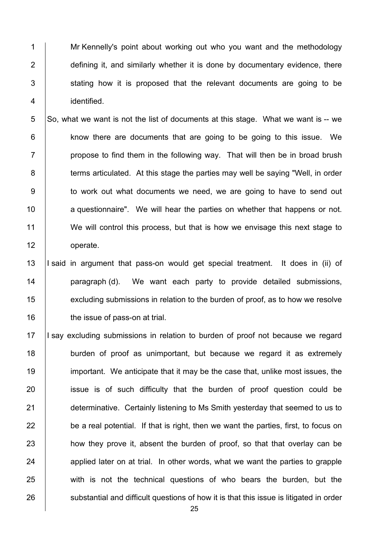1 Mr Kennelly's point about working out who you want and the methodology **defining it, and similarly whether it is done by documentary evidence, there**  stating how it is proposed that the relevant documents are going to be identified.

5  $\vert$ So, what we want is not the list of documents at this stage. What we want is -- we 6 **know there are documents that are going to be going to this issue.** We  $7 \mid$  propose to find them in the following way. That will then be in broad brush 8 terms articulated. At this stage the parties may well be saying "Well, in order 9 | to work out what documents we need, we are going to have to send out 10 **a** questionnaire". We will hear the parties on whether that happens or not. 11 We will control this process, but that is how we envisage this next stage to 12 operate.

13 |I said in argument that pass-on would get special treatment. It does in (ii) of 14 | paragraph (d). We want each party to provide detailed submissions, 15 **Example 20** excluding submissions in relation to the burden of proof, as to how we resolve 16 **the issue of pass-on at trial.** 

17 I say excluding submissions in relation to burden of proof not because we regard 18 **burden of proof as unimportant**, but because we regard it as extremely 19 important. We anticipate that it may be the case that, unlike most issues, the 20 **ignor** issue is of such difficulty that the burden of proof question could be 21 **determinative. Certainly listening to Ms Smith yesterday that seemed to us to**  $22$  be a real potential. If that is right, then we want the parties, first, to focus on 23 how they prove it, absent the burden of proof, so that that overlay can be  $24$  applied later on at trial. In other words, what we want the parties to grapple 25 with is not the technical questions of who bears the burden, but the 26 substantial and difficult questions of how it is that this issue is litigated in order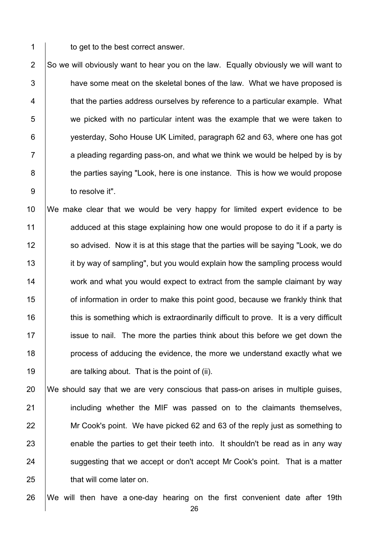1 to get to the best correct answer.

2  $\vert$  So we will obviously want to hear you on the law. Equally obviously we will want to  $3$   $\parallel$  have some meat on the skeletal bones of the law. What we have proposed is 4 that the parties address ourselves by reference to a particular example. What 5 we picked with no particular intent was the example that we were taken to 6 **Fig. 3** yesterday, Soho House UK Limited, paragraph 62 and 63, where one has got  $7 \mid$  a pleading regarding pass-on, and what we think we would be helped by is by 8 the parties saying "Look, here is one instance. This is how we would propose 9 **b** to resolve it".

10 We make clear that we would be very happy for limited expert evidence to be 11 adduced at this stage explaining how one would propose to do it if a party is 12 So advised. Now it is at this stage that the parties will be saying "Look, we do 13 it by way of sampling", but you would explain how the sampling process would 14 work and what you would expect to extract from the sample claimant by way 15 **orage 15** of information in order to make this point good, because we frankly think that 16 this is something which is extraordinarily difficult to prove. It is a very difficult 17 issue to nail. The more the parties think about this before we get down the 18 **process of adducing the evidence, the more we understand exactly what we** 19  $\vert$  are talking about. That is the point of (ii).

 We should say that we are very conscious that pass-on arises in multiple guises, **including whether the MIF was passed on to the claimants themselves,** 22 | Mr Cook's point. We have picked 62 and 63 of the reply just as something to enable the parties to get their teeth into. It shouldn't be read as in any way suggesting that we accept or don't accept Mr Cook's point. That is a matter 25 that will come later on.

26 We will then have a one-day hearing on the first convenient date after 19th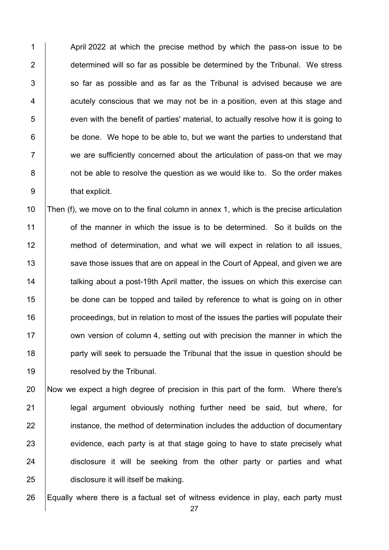1 April 2022 at which the precise method by which the pass-on issue to be **determined will so far as possible be determined by the Tribunal. We stress**  so far as possible and as far as the Tribunal is advised because we are | acutely conscious that we may not be in a position, even at this stage and 5 even with the benefit of parties' material, to actually resolve how it is going to  $\vert$  be done. We hope to be able to, but we want the parties to understand that  $\vert$  we are sufficiently concerned about the articulation of pass-on that we may **b** not be able to resolve the question as we would like to. So the order makes 9 | that explicit.

 $\vert$  Then (f), we move on to the final column in annex 1, which is the precise articulation 11 of the manner in which the issue is to be determined. So it builds on the 12 method of determination, and what we will expect in relation to all issues, 13 Save those issues that are on appeal in the Court of Appeal, and given we are **talking about a post-19th April matter, the issues on which this exercise can be done can be topped and tailed by reference to what is going on in other proceedings, but in relation to most of the issues the parties will populate their Fig.** own version of column 4, setting out with precision the manner in which the **party will seek to persuade the Tribunal that the issue in question should be Figure 1** resolved by the Tribunal.

 Now we expect a high degree of precision in this part of the form. Where there's 21 | legal argument obviously nothing further need be said, but where, for **i** instance, the method of determination includes the adduction of documentary evidence, each party is at that stage going to have to state precisely what 24 disclosure it will be seeking from the other party or parties and what disclosure it will itself be making.

Equally where there is a factual set of witness evidence in play, each party must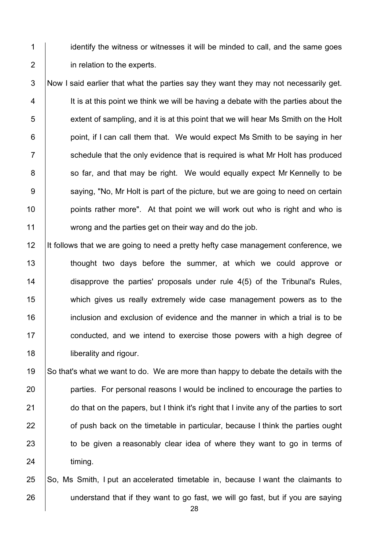1 identify the witness or witnesses it will be minded to call, and the same goes 2 **in relation to the experts.** 

 Now I said earlier that what the parties say they want they may not necessarily get. It is at this point we think we will be having a debate with the parties about the 5 extent of sampling, and it is at this point that we will hear Ms Smith on the Holt | point, if I can call them that. We would expect Ms Smith to be saying in her  $\parallel$  schedule that the only evidence that is required is what Mr Holt has produced 8 so far, and that may be right. We would equally expect Mr Kennelly to be 9 Saying, "No, Mr Holt is part of the picture, but we are going to need on certain **points rather more".** At that point we will work out who is right and who is wrong and the parties get on their way and do the job.

12 It follows that we are going to need a pretty hefty case management conference, we 13 | thought two days before the summer, at which we could approve or 14 disapprove the parties' proposals under rule 4(5) of the Tribunal's Rules, 15 which gives us really extremely wide case management powers as to the 16 **inclusion and exclusion of evidence and the manner in which a trial is to be** 17 **conducted, and we intend to exercise those powers with a high degree of** 18 **liberality and rigour.** 

 So that's what we want to do. We are more than happy to debate the details with the **parties.** For personal reasons I would be inclined to encourage the parties to **do that on the papers, but I think it's right that I invite any of the parties to sort of push back on the timetable in particular, because I think the parties ought** 23 to be given a reasonably clear idea of where they want to go in terms of 24 timing.

25  $\vert$  So, Ms Smith, I put an accelerated timetable in, because I want the claimants to 26 understand that if they want to go fast, we will go fast, but if you are saying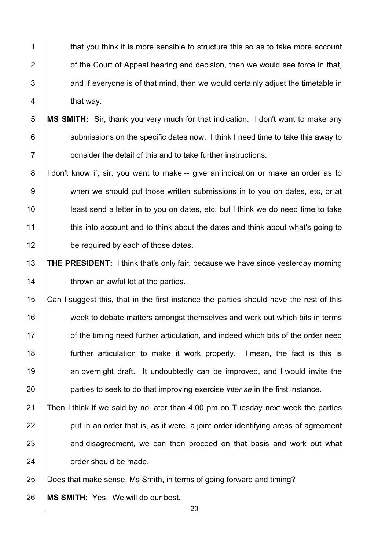1 that you think it is more sensible to structure this so as to take more account **1** of the Court of Appeal hearing and decision, then we would see force in that,  $\parallel$  and if evervone is of that mind, then we would certainly adjust the timetable in **that way.** 

 **MS SMITH:** Sir, thank you very much for that indication. I don't want to make any **Submissions on the specific dates now.** I think I need time to take this away to  $7 \mid$  consider the detail of this and to take further instructions.

8 |I don't know if, sir, you want to make -- give an indication or make an order as to 9 when we should put those written submissions in to you on dates, etc, or at least send a letter in to you on dates, etc, but I think we do need time to take 11 this into account and to think about the dates and think about what's going to **be required by each of those dates.** 

 **THE PRESIDENT:** I think that's only fair, because we have since yesterday morning **thrown an awful lot at the parties.** 

 Can I suggest this, that in the first instance the parties should have the rest of this 16 week to debate matters amongst themselves and work out which bits in terms **of the timing need further articulation, and indeed which bits of the order need**  further articulation to make it work properly. I mean, the fact is this is **an overnight draft.** It undoubtedly can be improved, and I would invite the parties to seek to do that improving exercise *inter se* in the first instance.

21 Then I think if we said by no later than 4.00 pm on Tuesday next week the parties | put in an order that is, as it were, a joint order identifying areas of agreement 23 and disagreement, we can then proceed on that basis and work out what 24 order should be made.

Does that make sense, Ms Smith, in terms of going forward and timing?

**MS SMITH:** Yes. We will do our best.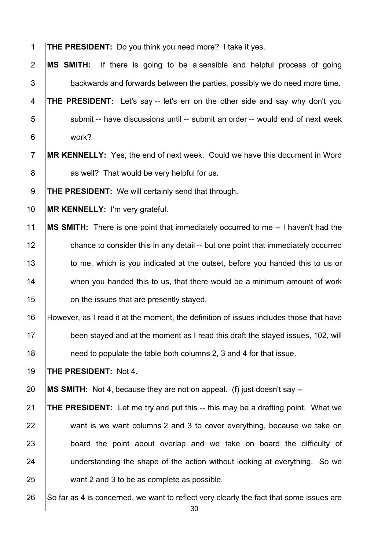**THE PRESIDENT:** Do you think you need more? I take it yes.

 **MS SMITH:** If there is going to be a sensible and helpful process of going  $\vert$  backwards and forwards between the parties, possibly we do need more time.

 **THE PRESIDENT:** Let's say -- let's err on the other side and say why don't you submit -- have discussions until -- submit an order -- would end of next week work?

# **MR KENNELLY:** Yes, the end of next week. Could we have this document in Word 8 as well? That would be very helpful for us.

**THE PRESIDENT:** We will certainly send that through.

**MR KENNELLY:** I'm very grateful.

 **MS SMITH:** There is one point that immediately occurred to me -- I haven't had the 12 chance to consider this in any detail -- but one point that immediately occurred 13 to me, which is you indicated at the outset, before you handed this to us or 14 when you handed this to us, that there would be a minimum amount of work **on the issues that are presently stayed.** 

 However, as I read it at the moment, the definition of issues includes those that have 17 been stayed and at the moment as I read this draft the stayed issues, 102, will **need to populate the table both columns 2, 3 and 4 for that issue.** 

**THE PRESIDENT:** Not 4.

**MS SMITH:** Not 4, because they are not on appeal. (f) just doesn't say --

 **THE PRESIDENT:** Let me try and put this -- this may be a drafting point. What we 22 want is we want columns 2 and 3 to cover everything, because we take on **board the point about overlap and we take on board the difficulty of understanding the shape of the action without looking at everything.** So we want 2 and 3 to be as complete as possible.

26  $\vert$  So far as 4 is concerned, we want to reflect very clearly the fact that some issues are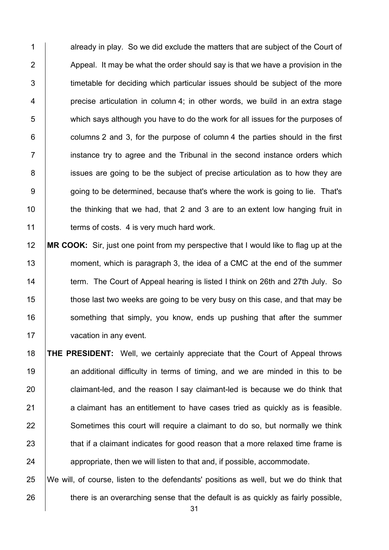1 already in play. So we did exclude the matters that are subiect of the Court of  $\vert$  Appeal. It may be what the order should say is that we have a provision in the 3 timetable for deciding which particular issues should be subject of the more | precise articulation in column 4; in other words, we build in an extra stage which says although you have to do the work for all issues for the purposes of | columns 2 and 3, for the purpose of column 4 the parties should in the first **i** instance try to agree and the Tribunal in the second instance orders which 8 issues are going to be the subject of precise articulation as to how they are 9 | going to be determined, because that's where the work is going to lie. That's  $\parallel$  the thinking that we had, that 2 and 3 are to an extent low hanging fruit in **terms of costs.** 4 is very much hard work.

12 **MR COOK:** Sir, just one point from my perspective that I would like to flag up at the 13 moment, which is paragraph 3, the idea of a CMC at the end of the summer 14 **term.** The Court of Appeal hearing is listed I think on 26th and 27th July. So 15 those last two weeks are going to be very busy on this case, and that may be 16 **Something that simply, you know, ends up pushing that after the summer** 17 vacation in any event.

18 **THE PRESIDENT:** Well, we certainly appreciate that the Court of Appeal throws 19 an additional difficulty in terms of timing, and we are minded in this to be 20 claimant-led, and the reason I say claimant-led is because we do think that  $21$  a claimant has an entitlement to have cases tried as quickly as is feasible. 22 Sometimes this court will require a claimant to do so, but normally we think 23 that if a claimant indicates for good reason that a more relaxed time frame is 24 appropriate, then we will listen to that and, if possible, accommodate.

25 We will, of course, listen to the defendants' positions as well, but we do think that  $26$  there is an overarching sense that the default is as quickly as fairly possible,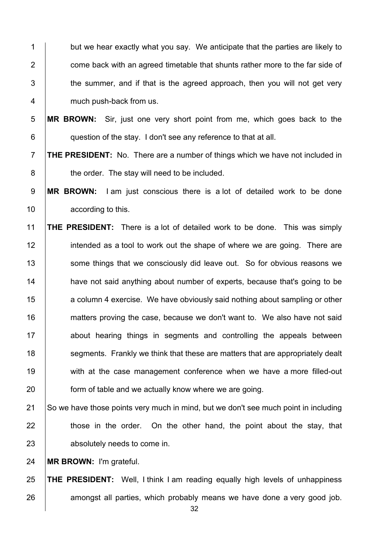but we hear exactly what you say. We anticipate that the parties are likely to  $\parallel$  come back with an agreed timetable that shunts rather more to the far side of  $\vert$  the summer, and if that is the agreed approach, then you will not get very **much push-back from us.** 

 **MR BROWN:** Sir, just one very short point from me, which goes back to the **question of the stay.** I don't see any reference to that at all.

 **THE PRESIDENT:** No. There are a number of things which we have not included in **budge 1** the order. The stay will need to be included.

 **MR BROWN:** I am just conscious there is a lot of detailed work to be done **according to this.** 

 **THE PRESIDENT:** There is a lot of detailed work to be done. This was simply 12 intended as a tool to work out the shape of where we are going. There are 13 Some things that we consciously did leave out. So for obvious reasons we **have not said anything about number of experts, because that's going to be a** column 4 exercise. We have obviously said nothing about sampling or other **matters proving the case, because we don't want to.** We also have not said 17 about hearing things in segments and controlling the appeals between **Solut** segments. Frankly we think that these are matters that are appropriately dealt **with at the case management conference when we have a more filled-out form of table and we actually know where we are going.** 

21 So we have those points very much in mind, but we don't see much point in including  $\parallel$  those in the order. On the other hand, the point about the stay, that **b** absolutely needs to come in.

**MR BROWN:** I'm grateful.

 **THE PRESIDENT:** Well, I think I am reading equally high levels of unhappiness 26 amongst all parties, which probably means we have done a very good job.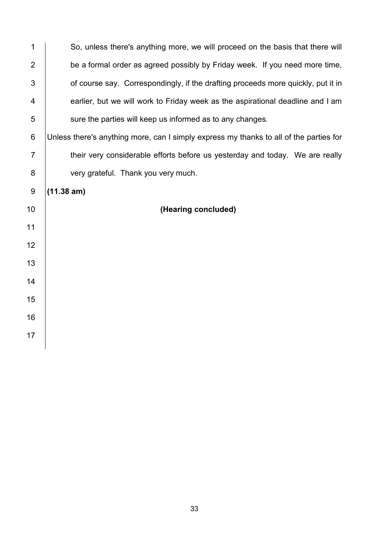| $\mathbf 1$      | So, unless there's anything more, we will proceed on the basis that there will         |
|------------------|----------------------------------------------------------------------------------------|
| $\overline{2}$   | be a formal order as agreed possibly by Friday week. If you need more time,            |
| 3                | of course say. Correspondingly, if the drafting proceeds more quickly, put it in       |
| 4                | earlier, but we will work to Friday week as the aspirational deadline and I am         |
| 5                | sure the parties will keep us informed as to any changes.                              |
| $\,6$            | Unless there's anything more, can I simply express my thanks to all of the parties for |
| $\overline{7}$   | their very considerable efforts before us yesterday and today. We are really           |
| 8                | very grateful. Thank you very much.                                                    |
| $\boldsymbol{9}$ | (11.38 am)                                                                             |
| 10               | (Hearing concluded)                                                                    |
| 11               |                                                                                        |
| 12               |                                                                                        |
| 13               |                                                                                        |
| 14               |                                                                                        |
| 15               |                                                                                        |
| 16               |                                                                                        |
| 17               |                                                                                        |
|                  |                                                                                        |